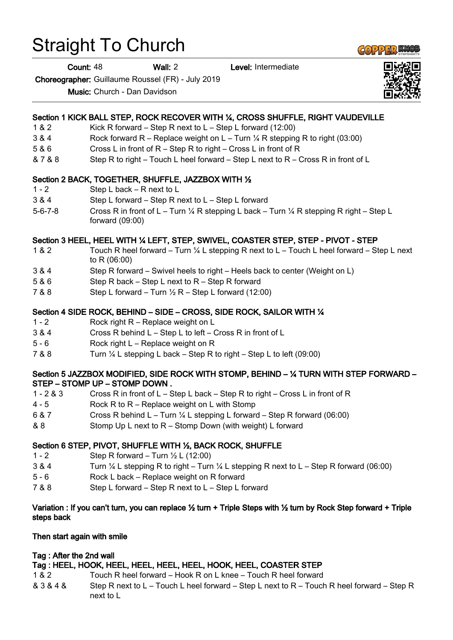# Straight To Church

Count: 48 Wall: 2 Level: Intermediate

Choreographer: Guillaume Roussel (FR) - July 2019

Music: Church - Dan Davidson

# Section 1 KICK BALL STEP, ROCK RECOVER WITH ¼, CROSS SHUFFLE, RIGHT VAUDEVILLE

- 1 & 2 Kick R forward Step R next to L Step L forward (12:00)
- 3 & 4 Rock forward R Replace weight on L Turn ¼ R stepping R to right (03:00)
- 5 & 6 Cross L in front of R Step R to right Cross L in front of R
- & 7 & 8 Step R to right Touch L heel forward Step L next to R Cross R in front of L

## Section 2 BACK, TOGETHER, SHUFFLE, JAZZBOX WITH ½

- 1 2 Step L back R next to L
- 3 & 4 Step L forward Step R next to L Step L forward
- 5-6-7-8 Cross R in front of L Turn ¼ R stepping L back Turn ¼ R stepping R right Step L forward (09:00)

## Section 3 HEEL, HEEL WITH ¼ LEFT, STEP, SWIVEL, COASTER STEP, STEP - PIVOT - STEP

- 1 & 2 Touch R heel forward Turn ¼ L stepping R next to L Touch L heel forward Step L next to R (06:00)
- 3 & 4 Step R forward Swivel heels to right Heels back to center (Weight on L)
- 5 & 6 Step R back Step L next to R Step R forward
- $7 & 8 & 8$  Step L forward Turn  $\frac{1}{2}R$  Step L forward (12:00)

#### Section 4 SIDE ROCK, BEHIND – SIDE – CROSS, SIDE ROCK, SAILOR WITH ¼

- 1 2 Rock right R Replace weight on L
- 3 & 4 Cross R behind L Step L to left Cross R in front of L
- 5 6 Rock right L Replace weight on R
- 7 & 8 Turn ¼ L stepping L back Step R to right Step L to left (09:00)

#### Section 5 JAZZBOX MODIFIED, SIDE ROCK WITH STOMP, BEHIND – ¼ TURN WITH STEP FORWARD – STEP – STOMP UP – STOMP DOWN .

- 1 2 & 3 Cross R in front of L Step L back Step R to right Cross L in front of R
- 4 5 Rock R to R Replace weight on L with Stomp
- 6 & 7 Cross R behind L Turn ¼ L stepping L forward Step R forward (06:00)
- & 8 Stomp Up L next to R Stomp Down (with weight) L forward

# Section 6 STEP, PIVOT, SHUFFLE WITH ½, BACK ROCK, SHUFFLE

- 1 2 Step R forward Turn ½ L (12:00)
- 3 & 4 Turn ¼ L stepping R to right Turn ¼ L stepping R next to L Step R forward (06:00)
- 5 6 Rock L back Replace weight on R forward
- 7 & 8 Step L forward Step R next to L Step L forward

#### Variation : If you can't turn, you can replace ½ turn + Triple Steps with ½ turn by Rock Step forward + Triple steps back

#### Then start again with smile

## Tag : After the 2nd wall

## Tag : HEEL, HOOK, HEEL, HEEL, HEEL, HEEL, HOOK, HEEL, COASTER STEP

- 1 & 2 Touch R heel forward Hook R on L knee Touch R heel forward
- & 3 & 4 & Step R next to L Touch L heel forward Step L next to R Touch R heel forward Step R next to L